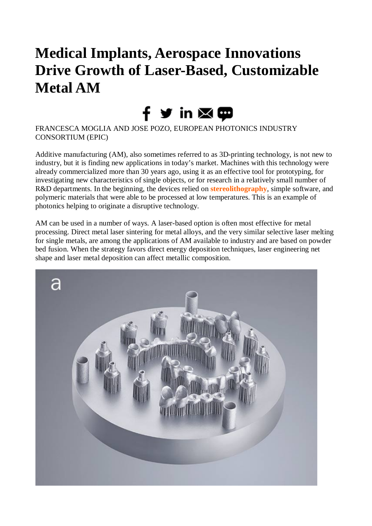# **Medical Implants, Aerospace Innovations Drive Growth of Laser-Based, Customizable Metal AM**

# fゞin⊠⊕

FRANCESCA MOGLIA AND JOSE POZO, EUROPEAN PHOTONICS INDUSTRY CONSORTIUM (EPIC)

Additive manufacturing (AM), also sometimes referred to as 3D-printing technology, is not new to industry, but it is finding new applications in today's market. Machines with this technology were already commercialized more than 30 years ago, using it as an effective tool for prototyping, for investigating new characteristics of single objects, or for research in a relatively small number of R&D departments. In the beginning, the devices relied on **[stereolithography](https://www.photonics.com/EDU/stereolithography/d7284)**, simple software, and polymeric materials that were able to be processed at low temperatures. This is an example of photonics helping to originate a disruptive technology.

AM can be used in a number of ways. A laser-based option is often most effective for metal processing. Direct metal laser sintering for metal alloys, and the very similar selective laser melting for single metals, are among the applications of AM available to industry and are based on powder bed fusion. When the strategy favors direct energy deposition techniques, laser engineering net shape and laser metal deposition can affect metallic composition.

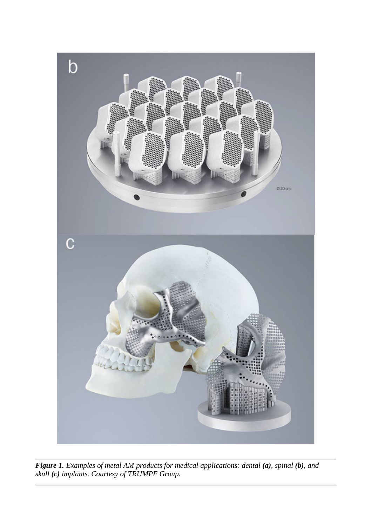

*Figure 1. Examples of metal AM products for medical applications: dental (a), spinal (b), and skull (c) implants. Courtesy of TRUMPF Group.*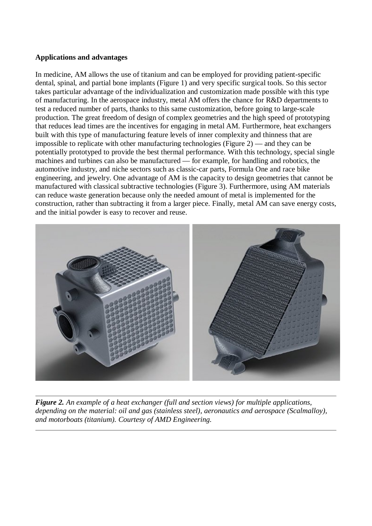### **Applications and advantages**

In medicine, AM allows the use of titanium and can be employed for providing patient-specific dental, spinal, and partial bone implants (Figure 1) and very specific surgical tools. So this sector takes particular advantage of the individualization and customization made possible with this type of manufacturing. In the aerospace industry, metal AM offers the chance for R&D departments to test a reduced number of parts, thanks to this same customization, before going to large-scale production. The great freedom of design of complex geometries and the high speed of prototyping that reduces lead times are the incentives for engaging in metal AM. Furthermore, heat exchangers built with this type of manufacturing feature levels of inner complexity and thinness that are impossible to replicate with other manufacturing technologies (Figure 2) — and they can be potentially prototyped to provide the best thermal performance. With this technology, special single machines and turbines can also be manufactured — for example, for handling and robotics, the automotive industry, and niche sectors such as classic-car parts, Formula One and race bike engineering, and jewelry. One advantage of AM is the capacity to design geometries that cannot be manufactured with classical subtractive technologies (Figure 3). Furthermore, using AM materials can reduce waste generation because only the needed amount of metal is implemented for the construction, rather than subtracting it from a larger piece. Finally, metal AM can save energy costs, and the initial powder is easy to recover and reuse.



*Figure 2. An example of a heat exchanger (full and section views) for multiple applications, depending on the material: oil and gas (stainless steel), aeronautics and aerospace (Scalmalloy), and motorboats (titanium). Courtesy of AMD Engineering.*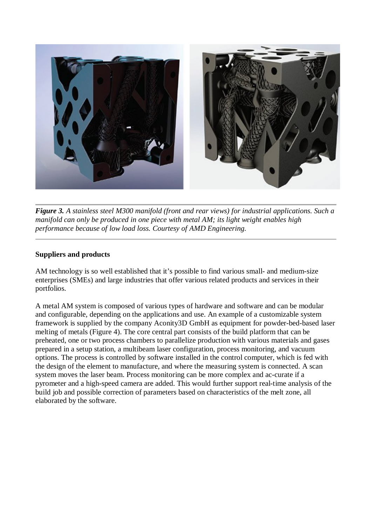

*Figure 3. A stainless steel M300 manifold (front and rear views) for industrial applications. Such a manifold can only be produced in one piece with metal AM; its light weight enables high performance because of low load loss. Courtesy of AMD Engineering.*

## **Suppliers and products**

AM technology is so well established that it's possible to find various small- and medium-size enterprises (SMEs) and large industries that offer various related products and services in their portfolios.

A metal AM system is composed of various types of hardware and software and can be modular and configurable, depending on the applications and use. An example of a customizable system framework is supplied by the company Aconity3D GmbH as equipment for powder-bed-based laser melting of metals (Figure 4). The core central part consists of the build platform that can be preheated, one or two process chambers to parallelize production with various materials and gases prepared in a setup station, a multibeam laser configuration, process monitoring, and vacuum options. The process is controlled by software installed in the control computer, which is fed with the design of the element to manufacture, and where the measuring system is connected. A scan system moves the laser beam. Process monitoring can be more complex and ac-curate if a pyrometer and a high-speed camera are added. This would further support real-time analysis of the build job and possible correction of parameters based on characteristics of the melt zone, all elaborated by the software.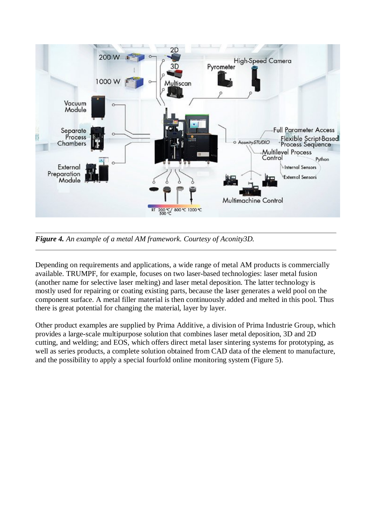

*Figure 4. An example of a metal AM framework. Courtesy of Aconity3D.*

Depending on requirements and applications, a wide range of metal AM products is commercially available. TRUMPF, for example, focuses on two laser-based technologies: laser metal fusion (another name for selective laser melting) and laser metal deposition. The latter technology is mostly used for repairing or coating existing parts, because the laser generates a weld pool on the component surface. A metal filler material is then continuously added and melted in this pool. Thus there is great potential for changing the material, layer by layer.

Other product examples are supplied by Prima Additive, a division of Prima Industrie Group, which provides a large-scale multipurpose solution that combines laser metal deposition, 3D and 2D cutting, and welding; and EOS, which offers direct metal laser sintering systems for prototyping, as well as series products, a complete solution obtained from CAD data of the element to manufacture, and the possibility to apply a special fourfold online monitoring system (Figure 5).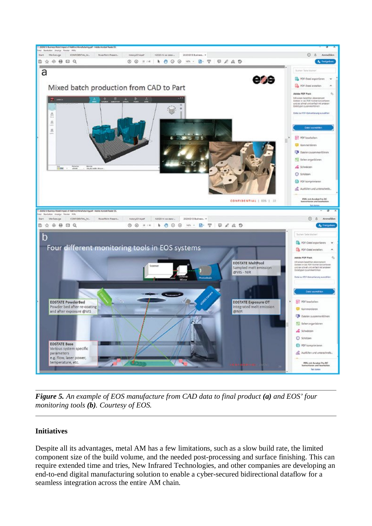

*Figure 5. An example of EOS manufacture from CAD data to final product (a) and EOS' four monitoring tools (b). Courtesy of EOS.*

## **Initiatives**

Despite all its advantages, metal AM has a few limitations, such as a slow build rate, the limited component size of the build volume, and the needed post-processing and surface finishing. This can require extended time and tries, New Infrared Technologies, and other companies are developing an end-to-end digital manufacturing solution to enable a cyber-secured bidirectional dataflow for a seamless integration across the entire AM chain.